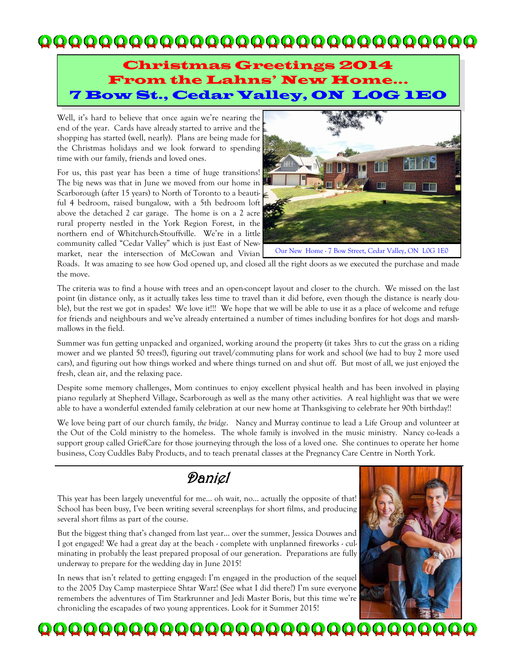## 

#### Christmas Greetings 2014 From the Lahns' New Home... 7 Bow St., Cedar Valley, ON L0G 1E0

Well, it's hard to believe that once again we're nearing the end of the year. Cards have already started to arrive and the shopping has started (well, nearly). Plans are being made for the Christmas holidays and we look forward to spending time with our family, friends and loved ones.

For us, this past year has been a time of huge transitions! The big news was that in June we moved from our home in Scarborough (after 15 years) to North of Toronto to a beautiful 4 bedroom, raised bungalow, with a 5th bedroom loft above the detached 2 car garage. The home is on a 2 acre rural property nestled in the York Region Forest, in the northern end of Whitchurch-Stouffville. We're in a little community called "Cedar Valley" which is just East of Newmarket, near the intersection of McCowan and Vivian



Roads. It was amazing to see how God opened up, and closed all the right doors as we executed the purchase and made the move.

The criteria was to find a house with trees and an open-concept layout and closer to the church. We missed on the last point (in distance only, as it actually takes less time to travel than it did before, even though the distance is nearly double), but the rest we got in spades! We love it!!! We hope that we will be able to use it as a place of welcome and refuge for friends and neighbours and we've already entertained a number of times including bonfires for hot dogs and marshmallows in the field.

Summer was fun getting unpacked and organized, working around the property (it takes 3hrs to cut the grass on a riding mower and we planted 50 trees!), figuring out travel/commuting plans for work and school (we had to buy 2 more used cars), and figuring out how things worked and where things turned on and shut off. But most of all, we just enjoyed the fresh, clean air, and the relaxing pace.

Despite some memory challenges, Mom continues to enjoy excellent physical health and has been involved in playing piano regularly at Shepherd Village, Scarborough as well as the many other activities. A real highlight was that we were able to have a wonderful extended family celebration at our new home at Thanksgiving to celebrate her 90th birthday!!

We love being part of our church family, *the bridge*. Nancy and Murray continue to lead a Life Group and volunteer at the Out of the Cold ministry to the homeless. The whole family is involved in the music ministry. Nancy co-leads a support group called GriefCare for those journeying through the loss of a loved one. She continues to operate her home business, Cozy Cuddles Baby Products, and to teach prenatal classes at the Pregnancy Care Centre in North York.

## Daniel

This year has been largely uneventful for me… oh wait, no… actually the opposite of that! School has been busy, I've been writing several screenplays for short films, and producing several short films as part of the course.

But the biggest thing that's changed from last year... over the summer, Jessica Douwes and I got engaged! We had a great day at the beach - complete with unplanned fireworks - culminating in probably the least prepared proposal of our generation. Preparations are fully underway to prepare for the wedding day in June 2015!

In news that isn't related to getting engaged: I'm engaged in the production of the sequel to the 2005 Day Camp masterpiece Shtar Warz! (See what I did there?) I'm sure everyone remembers the adventures of Tim Starkrunner and Jedi Master Boris, but this time we're chronicling the escapades of two young apprentices. Look for it Summer 2015!



QQQQQQQQQQQQQQQQQQQQQQQQQQQQQ